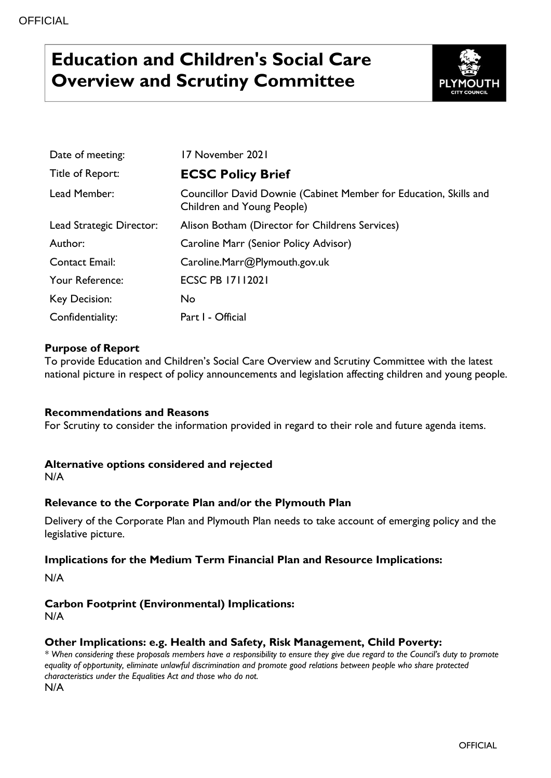# **Education and Children's Social Care Overview and Scrutiny Committee**



| Date of meeting:         | 17 November 2021                                                                                |
|--------------------------|-------------------------------------------------------------------------------------------------|
| Title of Report:         | <b>ECSC Policy Brief</b>                                                                        |
| Lead Member:             | Councillor David Downie (Cabinet Member for Education, Skills and<br>Children and Young People) |
| Lead Strategic Director: | Alison Botham (Director for Childrens Services)                                                 |
| Author:                  | Caroline Marr (Senior Policy Advisor)                                                           |
| <b>Contact Email:</b>    | Caroline.Marr@Plymouth.gov.uk                                                                   |
| Your Reference:          | <b>ECSC PB 17112021</b>                                                                         |
| Key Decision:            | No                                                                                              |
| Confidentiality:         | Part I - Official                                                                               |

# **Purpose of Report**

To provide Education and Children's Social Care Overview and Scrutiny Committee with the latest national picture in respect of policy announcements and legislation affecting children and young people.

# **Recommendations and Reasons**

For Scrutiny to consider the information provided in regard to their role and future agenda items.

#### **Alternative options considered and rejected**

N/A

# **Relevance to the Corporate Plan and/or the Plymouth Plan**

Delivery of the Corporate Plan and Plymouth Plan needs to take account of emerging policy and the legislative picture.

#### **Implications for the Medium Term Financial Plan and Resource Implications:**

N/A

# **Carbon Footprint (Environmental) Implications:**

N/A

# **Other Implications: e.g. Health and Safety, Risk Management, Child Poverty:**

*\* When considering these proposals members have a responsibility to ensure they give due regard to the Council's duty to promote equality of opportunity, eliminate unlawful discrimination and promote good relations between people who share protected characteristics under the Equalities Act and those who do not.* N/A